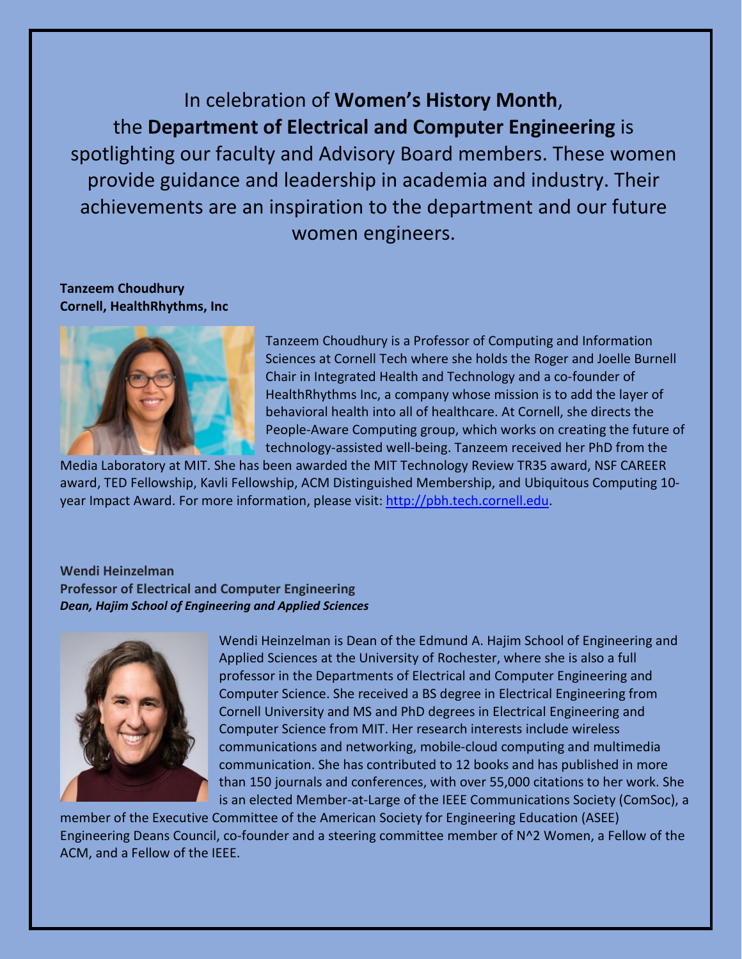In celebration of **Women's History Month**, the **Department of Electrical and Computer Engineering** is spotlighting our faculty and Advisory Board members. These women provide guidance and leadership in academia and industry. Their achievements are an inspiration to the department and our future women engineers.

**Tanzeem Choudhury Cornell, HealthRhythms, Inc**



Tanzeem Choudhury is a Professor of Computing and Information Sciences at Cornell Tech where she holds the Roger and Joelle Burnell Chair in Integrated Health and Technology and a co-founder of HealthRhythms Inc, a company whose mission is to add the layer of behavioral health into all of healthcare. At Cornell, she directs the People-Aware Computing group, which works on creating the future of technology-assisted well-being. Tanzeem received her PhD from the

Media Laboratory at MIT. She has been awarded the MIT Technology Review TR35 award, NSF CAREER award, TED Fellowship, Kavli Fellowship, ACM Distinguished Membership, and Ubiquitous Computing 10 year Impact Award. For more information, please visit: [http://pbh.tech.cornell.edu.](http://pbh.tech.cornell.edu/)

#### **Wendi Heinzelman Professor of Electrical and Computer Engineering** *Dean, Hajim School of Engineering and Applied Sciences*



Wendi Heinzelman is Dean of the Edmund A. Hajim School of Engineering and Applied Sciences at the University of Rochester, where she is also a full professor in the Departments of Electrical and Computer Engineering and Computer Science. She received a BS degree in Electrical Engineering from Cornell University and MS and PhD degrees in Electrical Engineering and Computer Science from MIT. Her research interests include wireless communications and networking, mobile-cloud computing and multimedia communication. She has contributed to 12 books and has published in more than 150 journals and conferences, with over 55,000 citations to her work. She is an elected Member-at-Large of the IEEE Communications Society (ComSoc), a

member of the Executive Committee of the American Society for Engineering Education (ASEE) Engineering Deans Council, co-founder and a steering committee member of N^2 Women, a Fellow of the ACM, and a Fellow of the IEEE.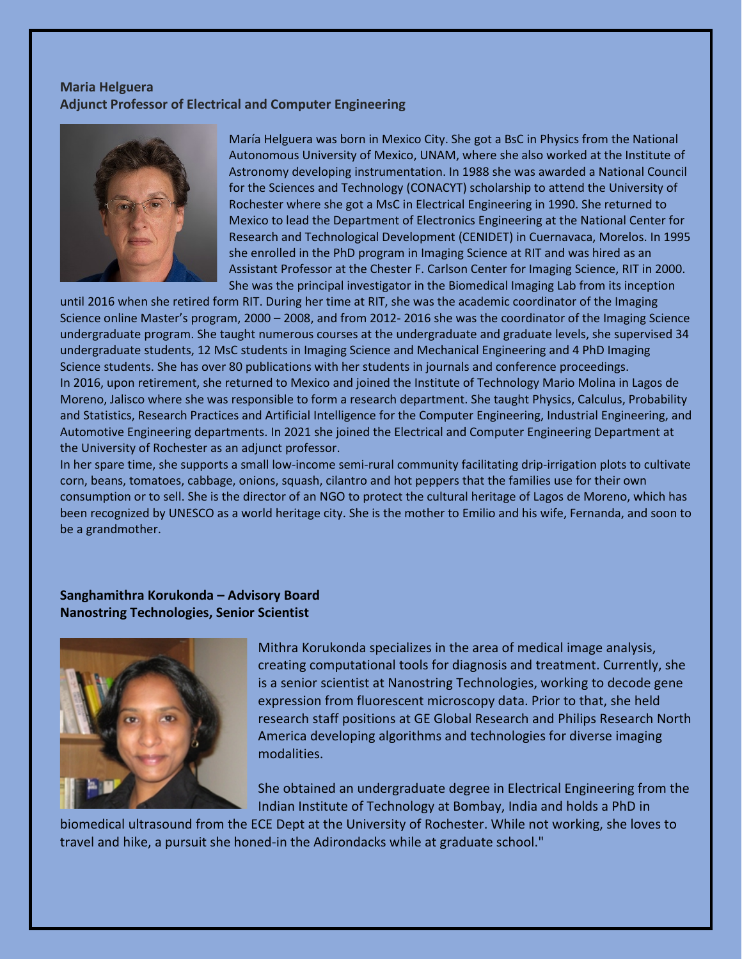### **Maria Helguera Adjunct Professor of Electrical and Computer Engineering**



María Helguera was born in Mexico City. She got a BsC in Physics from the National Autonomous University of Mexico, UNAM, where she also worked at the Institute of Astronomy developing instrumentation. In 1988 she was awarded a National Council for the Sciences and Technology (CONACYT) scholarship to attend the University of Rochester where she got a MsC in Electrical Engineering in 1990. She returned to Mexico to lead the Department of Electronics Engineering at the National Center for Research and Technological Development (CENIDET) in Cuernavaca, Morelos. In 1995 she enrolled in the PhD program in Imaging Science at RIT and was hired as an Assistant Professor at the Chester F. Carlson Center for Imaging Science, RIT in 2000. She was the principal investigator in the Biomedical Imaging Lab from its inception

until 2016 when she retired form RIT. During her time at RIT, she was the academic coordinator of the Imaging Science online Master's program, 2000 – 2008, and from 2012- 2016 she was the coordinator of the Imaging Science undergraduate program. She taught numerous courses at the undergraduate and graduate levels, she supervised 34 undergraduate students, 12 MsC students in Imaging Science and Mechanical Engineering and 4 PhD Imaging Science students. She has over 80 publications with her students in journals and conference proceedings. In 2016, upon retirement, she returned to Mexico and joined the Institute of Technology Mario Molina in Lagos de Moreno, Jalisco where she was responsible to form a research department. She taught Physics, Calculus, Probability and Statistics, Research Practices and Artificial Intelligence for the Computer Engineering, Industrial Engineering, and Automotive Engineering departments. In 2021 she joined the Electrical and Computer Engineering Department at the University of Rochester as an adjunct professor.

In her spare time, she supports a small low-income semi-rural community facilitating drip-irrigation plots to cultivate corn, beans, tomatoes, cabbage, onions, squash, cilantro and hot peppers that the families use for their own consumption or to sell. She is the director of an NGO to protect the cultural heritage of Lagos de Moreno, which has been recognized by UNESCO as a world heritage city. She is the mother to Emilio and his wife, Fernanda, and soon to be a grandmother.

### **Sanghamithra Korukonda – Advisory Board Nanostring Technologies, Senior Scientist**



Mithra Korukonda specializes in the area of medical image analysis, creating computational tools for diagnosis and treatment. Currently, she is a senior scientist at Nanostring Technologies, working to decode gene expression from fluorescent microscopy data. Prior to that, she held research staff positions at GE Global Research and Philips Research North America developing algorithms and technologies for diverse imaging modalities.

She obtained an undergraduate degree in Electrical Engineering from the Indian Institute of Technology at Bombay, India and holds a PhD in

biomedical ultrasound from the ECE Dept at the University of Rochester. While not working, she loves to travel and hike, a pursuit she honed-in the Adirondacks while at graduate school."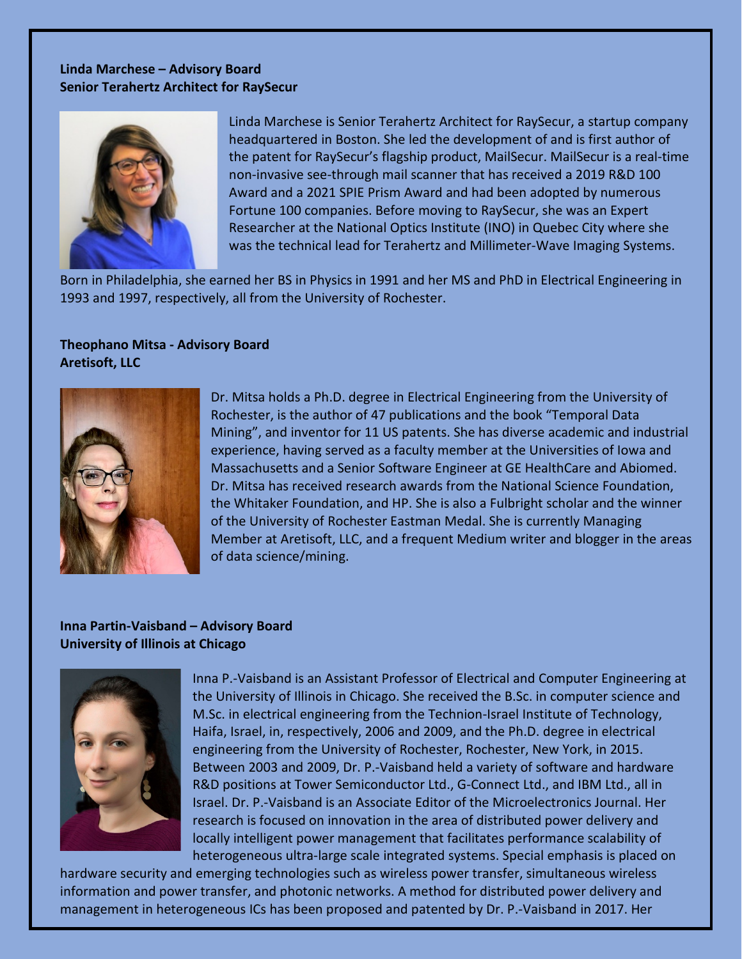# **Linda Marchese – Advisory Board Senior Terahertz Architect for RaySecur**



Linda Marchese is Senior Terahertz Architect for RaySecur, a startup company headquartered in Boston. She led the development of and is first author of the patent for RaySecur's flagship product, MailSecur. MailSecur is a real-time non-invasive see-through mail scanner that has received a 2019 R&D 100 Award and a 2021 SPIE Prism Award and had been adopted by numerous Fortune 100 companies. Before moving to RaySecur, she was an Expert Researcher at the National Optics Institute (INO) in Quebec City where she was the technical lead for Terahertz and Millimeter-Wave Imaging Systems.

Born in Philadelphia, she earned her BS in Physics in 1991 and her MS and PhD in Electrical Engineering in 1993 and 1997, respectively, all from the University of Rochester.

# **Theophano Mitsa - Advisory Board Aretisoft, LLC**



Dr. Mitsa holds a Ph.D. degree in Electrical Engineering from the University of Rochester, is the author of 47 publications and the book "Temporal Data Mining", and inventor for 11 US patents. She has diverse academic and industrial experience, having served as a faculty member at the Universities of Iowa and Massachusetts and a Senior Software Engineer at GE HealthCare and Abiomed. Dr. Mitsa has received research awards from the National Science Foundation, the Whitaker Foundation, and HP. She is also a Fulbright scholar and the winner of the University of Rochester Eastman Medal. She is currently Managing Member at Aretisoft, LLC, and a frequent Medium writer and blogger in the areas of data science/mining.

### **Inna Partin-Vaisband – Advisory Board University of Illinois at Chicago**



Inna P.-Vaisband is an Assistant Professor of Electrical and Computer Engineering at the University of Illinois in Chicago. She received the B.Sc. in computer science and M.Sc. in electrical engineering from the Technion-Israel Institute of Technology, Haifa, Israel, in, respectively, 2006 and 2009, and the Ph.D. degree in electrical engineering from the University of Rochester, Rochester, New York, in 2015. Between 2003 and 2009, Dr. P.-Vaisband held a variety of software and hardware R&D positions at Tower Semiconductor Ltd., G-Connect Ltd., and IBM Ltd., all in Israel. Dr. P.-Vaisband is an Associate Editor of the Microelectronics Journal. Her research is focused on innovation in the area of distributed power delivery and locally intelligent power management that facilitates performance scalability of heterogeneous ultra-large scale integrated systems. Special emphasis is placed on

hardware security and emerging technologies such as wireless power transfer, simultaneous wireless information and power transfer, and photonic networks. A method for distributed power delivery and management in heterogeneous ICs has been proposed and patented by Dr. P.-Vaisband in 2017. Her